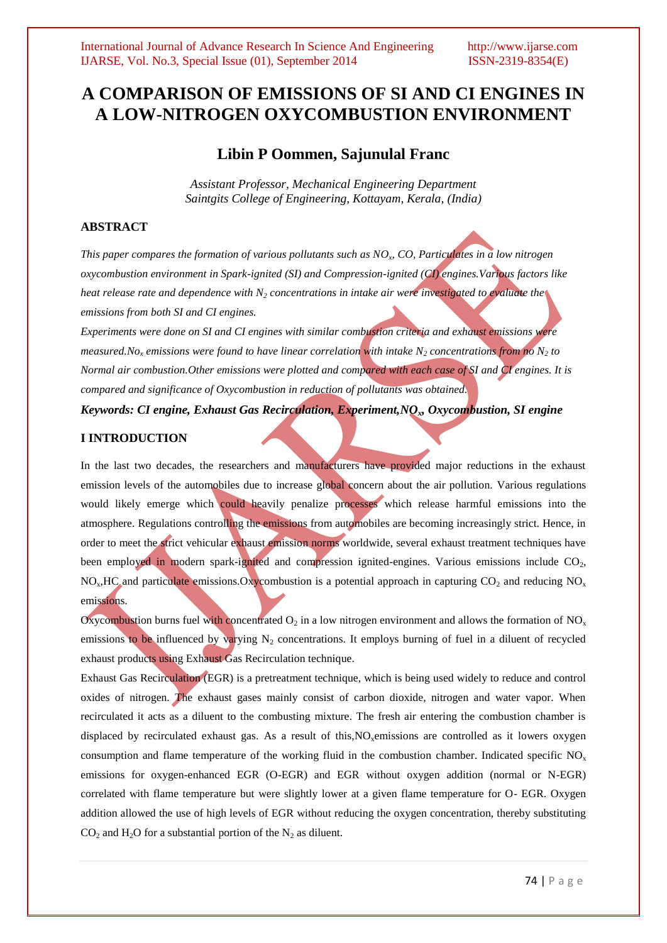# **A COMPARISON OF EMISSIONS OF SI AND CI ENGINES IN A LOW-NITROGEN OXYCOMBUSTION ENVIRONMENT**

# **Libin P Oommen, Sajunulal Franc**

*Assistant Professor, Mechanical Engineering Department Saintgits College of Engineering, Kottayam, Kerala, (India)*

# **ABSTRACT**

*This paper compares the formation of various pollutants such as NO<sup>x</sup> , CO, Particulates in a low nitrogen oxycombustion environment in Spark-ignited (SI) and Compression-ignited (CI) engines.Various factors like heat release rate and dependence with N<sup>2</sup> concentrations in intake air were investigated to evaluate the emissions from both SI and CI engines.*

*Experiments were done on SI and CI engines with similar combustion criteria and exhaust emissions were measured.No<sup>x</sup> emissions were found to have linear correlation with intake N<sup>2</sup> concentrations from no N<sup>2</sup> to Normal air combustion.Other emissions were plotted and compared with each case of SI and CI engines. It is compared and significance of Oxycombustion in reduction of pollutants was obtained.*

*Keywords: CI engine, Exhaust Gas Recirculation, Experiment,NOx, Oxycombustion, SI engine*

# **I INTRODUCTION**

In the last two decades, the researchers and manufacturers have provided major reductions in the exhaust emission levels of the automobiles due to increase global concern about the air pollution. Various regulations would likely emerge which could heavily penalize processes which release harmful emissions into the atmosphere. Regulations controlling the emissions from automobiles are becoming increasingly strict. Hence, in order to meet the strict vehicular exhaust emission norms worldwide, several exhaust treatment techniques have been employed in modern spark-ignited and compression ignited-engines. Various emissions include  $CO<sub>2</sub>$ ,  $NO<sub>x</sub>, HCl$  and particulate emissions. $Ox$  combustion is a potential approach in capturing  $CO<sub>2</sub>$  and reducing  $NO<sub>x</sub>$ emissions.

Oxycombustion burns fuel with concentrated  $O_2$  in a low nitrogen environment and allows the formation of NO<sub>x</sub> emissions to be influenced by varying  $N_2$  concentrations. It employs burning of fuel in a diluent of recycled exhaust products using Exhaust Gas Recirculation technique.

Exhaust Gas Recirculation (EGR) is a pretreatment technique, which is being used widely to reduce and control oxides of nitrogen. The exhaust gases mainly consist of carbon dioxide, nitrogen and water vapor. When recirculated it acts as a diluent to the combusting mixture. The fresh air entering the combustion chamber is displaced by recirculated exhaust gas. As a result of this, $NO<sub>x</sub>$ emissions are controlled as it lowers oxygen consumption and flame temperature of the working fluid in the combustion chamber. Indicated specific  $NO<sub>x</sub>$ emissions for oxygen-enhanced EGR (O-EGR) and EGR without oxygen addition (normal or N-EGR) correlated with flame temperature but were slightly lower at a given flame temperature for O- EGR. Oxygen addition allowed the use of high levels of EGR without reducing the oxygen concentration, thereby substituting  $CO<sub>2</sub>$  and H<sub>2</sub>O for a substantial portion of the N<sub>2</sub> as diluent.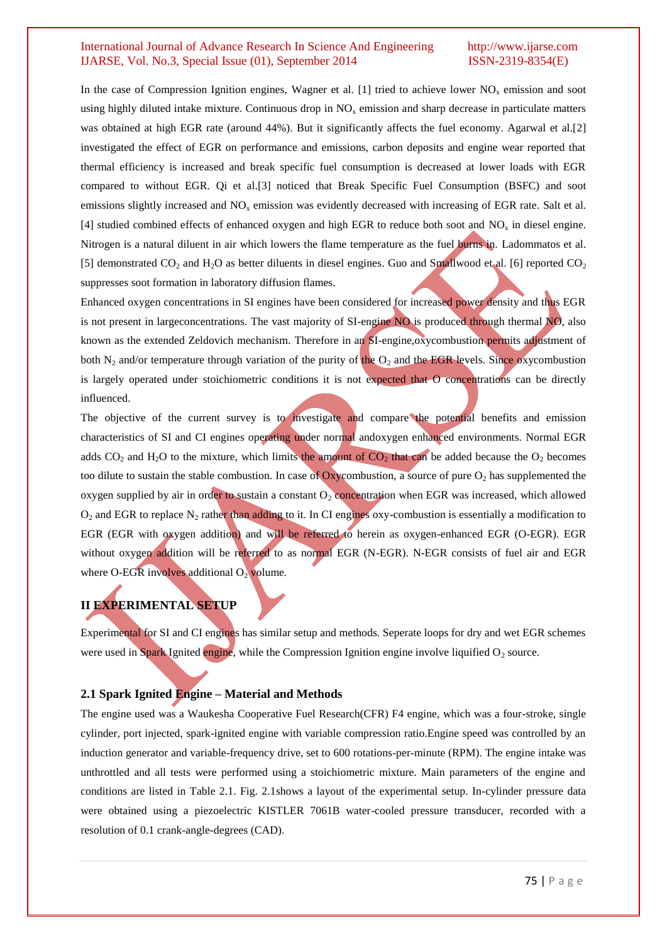In the case of Compression Ignition engines, Wagner et al. [1] tried to achieve lower  $NO<sub>x</sub>$  emission and soot using highly diluted intake mixture. Continuous drop in  $NO<sub>x</sub>$  emission and sharp decrease in particulate matters was obtained at high EGR rate (around 44%). But it significantly affects the fuel economy. Agarwal et al.[2] investigated the effect of EGR on performance and emissions, carbon deposits and engine wear reported that thermal efficiency is increased and break specific fuel consumption is decreased at lower loads with EGR compared to without EGR. Qi et al.[3] noticed that Break Specific Fuel Consumption (BSFC) and soot emissions slightly increased and  $NO<sub>x</sub>$  emission was evidently decreased with increasing of EGR rate. Salt et al. [4] studied combined effects of enhanced oxygen and high EGR to reduce both soot and  $NO<sub>x</sub>$  in diesel engine. Nitrogen is a natural diluent in air which lowers the flame temperature as the fuel burns in. Ladommatos et al. [5] demonstrated  $CO_2$  and  $H_2O$  as better diluents in diesel engines. Guo and Smallwood et al. [6] reported  $CO_2$ suppresses soot formation in laboratory diffusion flames.

Enhanced oxygen concentrations in SI engines have been considered for increased power density and thus EGR is not present in largeconcentrations. The vast majority of SI-engine NO is produced through thermal NO, also known as the extended Zeldovich mechanism. Therefore in an SI-engine,oxycombustion permits adjustment of both  $N_2$  and/or temperature through variation of the purity of the  $O_2$  and the EGR levels. Since oxycombustion is largely operated under stoichiometric conditions it is not expected that O concentrations can be directly influenced.

The objective of the current survey is to investigate and compare the potential benefits and emission characteristics of SI and CI engines operating under normal andoxygen enhanced environments. Normal EGR adds  $CO_2$  and H<sub>2</sub>O to the mixture, which limits the amount of  $CO_2$  that can be added because the  $O_2$  becomes too dilute to sustain the stable combustion. In case of Oxycombustion, a source of pure  $O_2$  has supplemented the oxygen supplied by air in order to sustain a constant  $O_2$  concentration when EGR was increased, which allowed  $O_2$  and EGR to replace N<sub>2</sub> rather than adding to it. In CI engines oxy-combustion is essentially a modification to EGR (EGR with oxygen addition) and will be referred to herein as oxygen-enhanced EGR (O-EGR). EGR without oxygen addition will be referred to as normal EGR (N-EGR). N-EGR consists of fuel air and EGR where O-EGR involves additional  $O<sub>2</sub>$  volume.

# **II EXPERIMENTAL SETUP**

Experimental for SI and CI engines has similar setup and methods. Seperate loops for dry and wet EGR schemes were used in Spark Ignited engine, while the Compression Ignition engine involve liquified  $O_2$  source.

# **2.1 Spark Ignited Engine – Material and Methods**

The engine used was a Waukesha Cooperative Fuel Research(CFR) F4 engine, which was a four-stroke, single cylinder, port injected, spark-ignited engine with variable compression ratio.Engine speed was controlled by an induction generator and variable-frequency drive, set to 600 rotations-per-minute (RPM). The engine intake was unthrottled and all tests were performed using a stoichiometric mixture. Main parameters of the engine and conditions are listed in Table 2.1. Fig. 2.1shows a layout of the experimental setup. In-cylinder pressure data were obtained using a piezoelectric KISTLER 7061B water-cooled pressure transducer, recorded with a resolution of 0.1 crank-angle-degrees (CAD).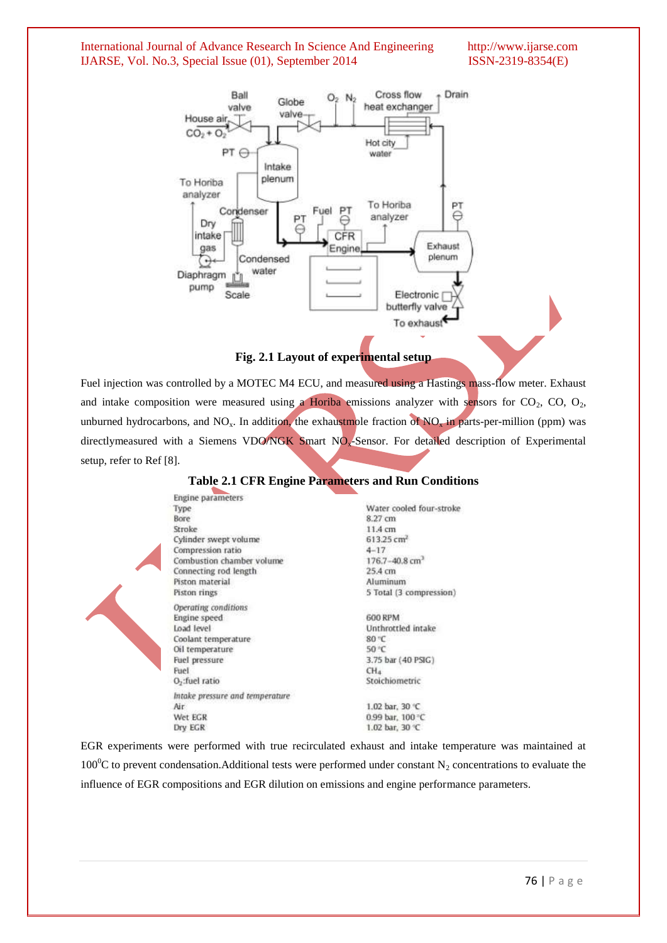

**Fig. 2.1 Layout of experimental setup**

Fuel injection was controlled by a MOTEC M4 ECU, and measured using a Hastings mass-flow meter. Exhaust and intake composition were measured using a Horiba emissions analyzer with sensors for  $CO_2$ ,  $CO$ ,  $O_2$ , unburned hydrocarbons, and NO<sub>x</sub>. In addition, the exhaustmole fraction of NO<sub>x</sub> in parts-per-million (ppm) was directlymeasured with a Siemens VDO/NGK Smart NO<sub>x</sub>-Sensor. For detailed description of Experimental setup, refer to Ref [8].

| Engine parameters               |                                |
|---------------------------------|--------------------------------|
| Type.                           | Water cooled four-stroke       |
| Bore                            | 8.27 cm                        |
| <b>Stroke</b>                   | 11.4 cm                        |
| Cylinder swept volume           | 613.25 cm <sup>2</sup>         |
| Compression ratio               | $4 - 17$                       |
| Combustion chamber volume       | $176.7 - 40.8$ cm <sup>3</sup> |
| Connecting rod length           | 25.4 cm                        |
| Piston material                 | Aluminum                       |
| Piston rings                    | 5 Total (3 compression)        |
| Operating conditions            |                                |
| Engine speed                    | <b>600 RPM</b>                 |
| Load level                      | Unthrottled intake             |
| Coolant temperature             | 80 °C                          |
| Oil temperature                 | 50 °C                          |
| Fuel pressure                   | 3.75 bar (40 PSIG)             |
| Fuel                            | CH <sub>4</sub>                |
| O <sub>2</sub> :fuel ratio      | Stoichiometric                 |
| Intake pressure and temperature |                                |
| Air                             | 1.02 bar, 30 °C                |
| Wet EGR                         | 0.99 bar. 100 °C               |
| Dry EGR                         | 1.02 bar, 30 °C                |

## **Table 2.1 CFR Engine Parameters and Run Conditions**

EGR experiments were performed with true recirculated exhaust and intake temperature was maintained at 100<sup>0</sup>C to prevent condensation. Additional tests were performed under constant N<sub>2</sub> concentrations to evaluate the influence of EGR compositions and EGR dilution on emissions and engine performance parameters.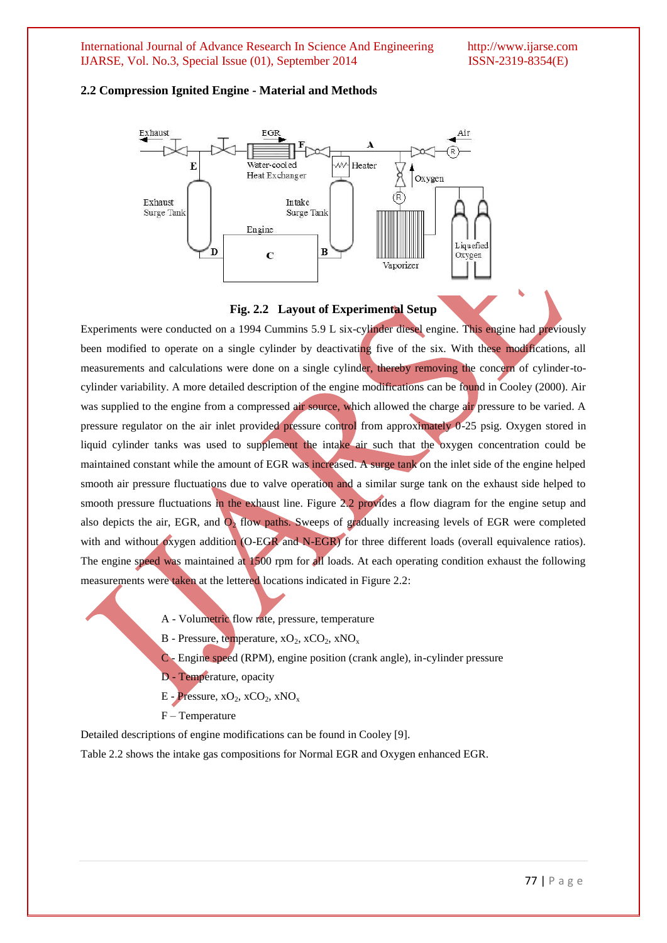#### **2.2 Compression Ignited Engine - Material and Methods**



#### **Fig. 2.2 Layout of Experimental Setup**

Experiments were conducted on a 1994 Cummins 5.9 L six-cylinder diesel engine. This engine had previously been modified to operate on a single cylinder by deactivating five of the six. With these modifications, all measurements and calculations were done on a single cylinder, thereby removing the concern of cylinder-tocylinder variability. A more detailed description of the engine modifications can be found in Cooley (2000). Air was supplied to the engine from a compressed air source, which allowed the charge air pressure to be varied. A pressure regulator on the air inlet provided pressure control from approximately 0-25 psig. Oxygen stored in liquid cylinder tanks was used to supplement the intake air such that the oxygen concentration could be maintained constant while the amount of EGR was increased. A surge tank on the inlet side of the engine helped smooth air pressure fluctuations due to valve operation and a similar surge tank on the exhaust side helped to smooth pressure fluctuations in the exhaust line. Figure 2.2 provides a flow diagram for the engine setup and also depicts the air, EGR, and  $O_2$  flow paths. Sweeps of gradually increasing levels of EGR were completed with and without oxygen addition (O-EGR and N-EGR) for three different loads (overall equivalence ratios). The engine speed was maintained at 1500 rpm for all loads. At each operating condition exhaust the following measurements were taken at the lettered locations indicated in Figure 2.2:

- A Volumetric flow rate, pressure, temperature
- B Pressure, temperature,  $xO_2$ ,  $xCO_2$ ,  $xNO_x$
- C Engine speed (RPM), engine position (crank angle), in-cylinder pressure
- D Temperature, opacity
- E Pressure,  $XO_2$ ,  $XCO_2$ ,  $XNO_x$
- F Temperature

Detailed descriptions of engine modifications can be found in Cooley [9].

Table 2.2 shows the intake gas compositions for Normal EGR and Oxygen enhanced EGR.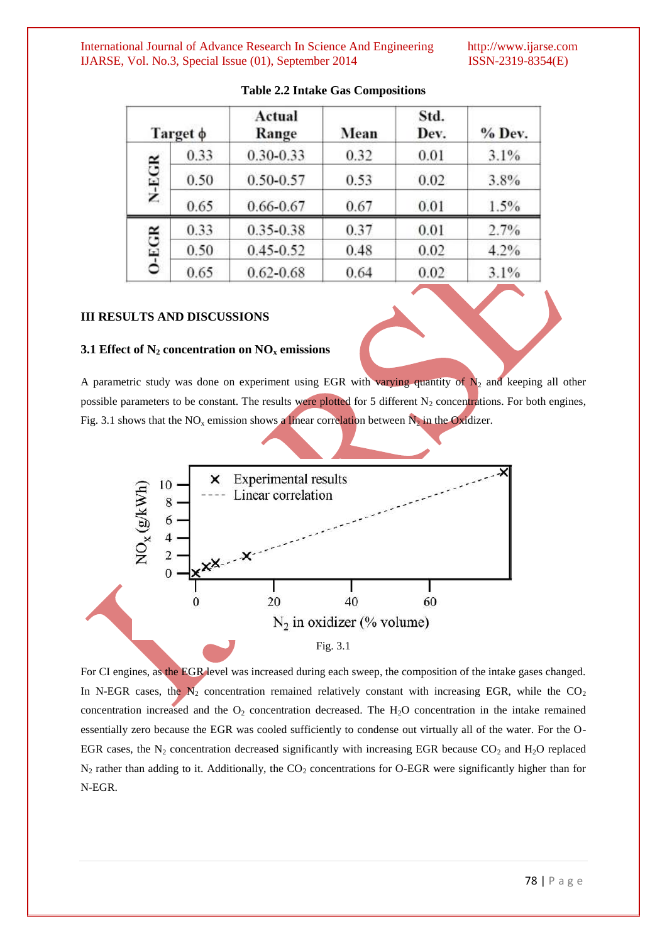|             | Target $\phi$ | Actual<br>Range | Mean | Std.<br>Dev. | $%$ Dev. |
|-------------|---------------|-----------------|------|--------------|----------|
|             | 0.33          | $0.30 - 0.33$   | 0.32 | 0.01         | 3.1%     |
| N-EGR       | 0.50          | $0.50 - 0.57$   | 0.53 | 0.02         | 3.8%     |
|             | 0.65          | 0.66-0.67       | 0.67 | 0.01         | 1.5%     |
|             | 0.33          | 0.35-0.38       | 0.37 | 0.01         | 2.7%     |
| $0 - E G R$ | 0.50          | $0.45 - 0.52$   | 0.48 | 0.02         | 4.2%     |
|             | 0.65          | $0.62 - 0.68$   | 0.64 | 0.02         | 3.1%     |

# **Table 2.2 Intake Gas Compositions**

# **III RESULTS AND DISCUSSIONS**

# **3.1 Effect of N<sup>2</sup> concentration on NO<sup>x</sup> emissions**

A parametric study was done on experiment using EGR with varying quantity of  $N_2$  and keeping all other possible parameters to be constant. The results were plotted for 5 different  $N_2$  concentrations. For both engines, Fig. 3.1 shows that the NO<sub>x</sub> emission shows a linear correlation between  $N_2$  in the Oxidizer.



For CI engines, as the EGR level was increased during each sweep, the composition of the intake gases changed. In N-EGR cases, the  $N_2$  concentration remained relatively constant with increasing EGR, while the  $CO_2$ concentration increased and the  $O_2$  concentration decreased. The  $H_2O$  concentration in the intake remained essentially zero because the EGR was cooled sufficiently to condense out virtually all of the water. For the O-EGR cases, the  $N_2$  concentration decreased significantly with increasing EGR because  $CO_2$  and  $H_2O$  replaced  $N_2$  rather than adding to it. Additionally, the  $CO_2$  concentrations for O-EGR were significantly higher than for N-EGR.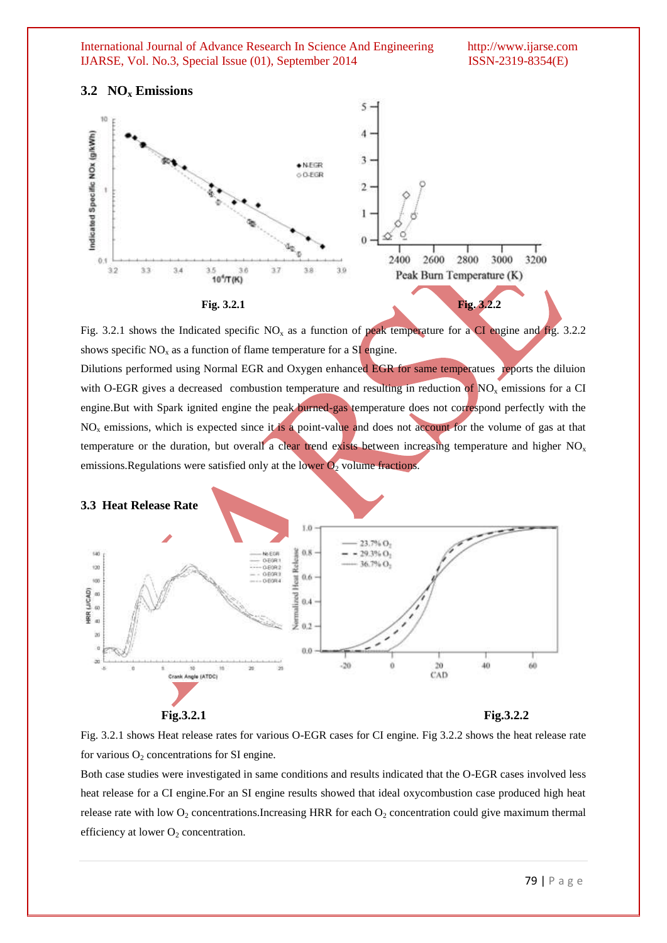# **3.2 NO<sup>x</sup> Emissions**



Fig. 3.2.1 shows the Indicated specific  $NO<sub>x</sub>$  as a function of peak temperature for a CI engine and fig. 3.2.2 shows specific  $NO<sub>x</sub>$  as a function of flame temperature for a  $SI$  engine.

Dilutions performed using Normal EGR and Oxygen enhanced EGR for same temperatues reports the diluion with O-EGR gives a decreased combustion temperature and resulting in reduction of  $NO<sub>x</sub>$  emissions for a CI engine.But with Spark ignited engine the peak burned-gas temperature does not correspond perfectly with the  $NO<sub>x</sub>$  emissions, which is expected since it is a point-value and does not account for the volume of gas at that temperature or the duration, but overall a clear trend exists between increasing temperature and higher  $NO<sub>x</sub>$ emissions. Regulations were satisfied only at the lower  $\overline{O_2}$  volume fractions.



Fig. 3.2.1 shows Heat release rates for various O-EGR cases for CI engine. Fig 3.2.2 shows the heat release rate for various  $O_2$  concentrations for SI engine.

Both case studies were investigated in same conditions and results indicated that the O-EGR cases involved less heat release for a CI engine.For an SI engine results showed that ideal oxycombustion case produced high heat release rate with low  $O_2$  concentrations. Increasing HRR for each  $O_2$  concentration could give maximum thermal efficiency at lower  $O_2$  concentration.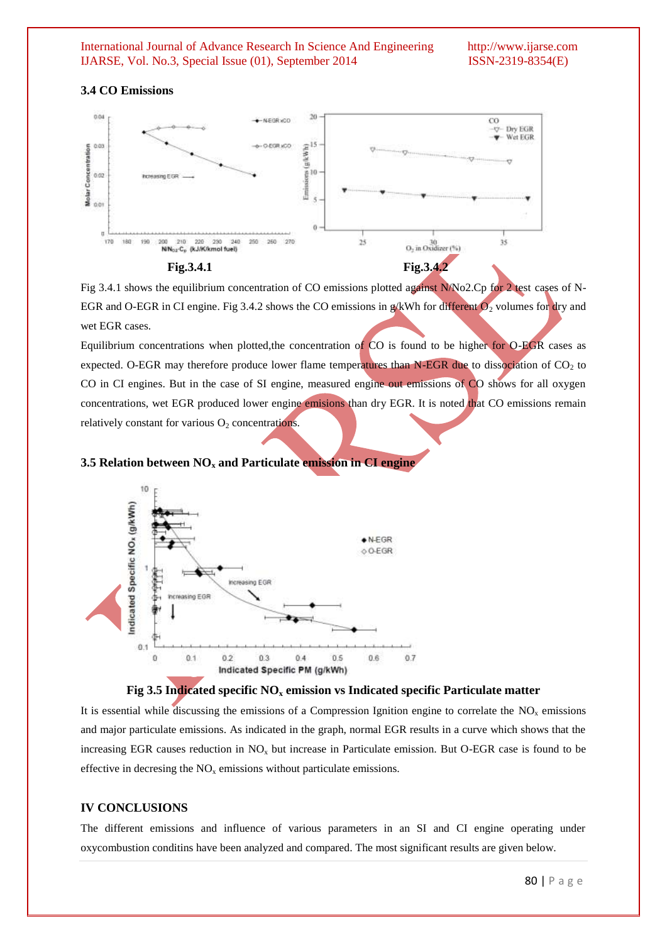#### **3.4 CO Emissions**



Fig 3.4.1 shows the equilibrium concentration of CO emissions plotted against N/No2.Cp for 2 test cases of N-EGR and O-EGR in CI engine. Fig 3.4.2 shows the CO emissions in g/kWh for different  $O_2$  volumes for dry and wet EGR cases.

Equilibrium concentrations when plotted,the concentration of CO is found to be higher for O-EGR cases as expected. O-EGR may therefore produce lower flame temperatures than N-EGR due to dissociation of  $CO<sub>2</sub>$  to CO in CI engines. But in the case of SI engine, measured engine out emissions of CO shows for all oxygen concentrations, wet EGR produced lower engine emisions than dry EGR. It is noted that CO emissions remain relatively constant for various  $O_2$  concentrations.

# **3.5 Relation between NO<sup>x</sup> and Particulate emission in CI engine**





It is essential while discussing the emissions of a Compression Ignition engine to correlate the  $NO<sub>x</sub>$  emissions and major particulate emissions. As indicated in the graph, normal EGR results in a curve which shows that the increasing EGR causes reduction in  $NO<sub>x</sub>$  but increase in Particulate emission. But O-EGR case is found to be effective in decresing the  $NO<sub>x</sub>$  emissions without particulate emissions.

### **IV CONCLUSIONS**

The different emissions and influence of various parameters in an SI and CI engine operating under oxycombustion conditins have been analyzed and compared. The most significant results are given below.